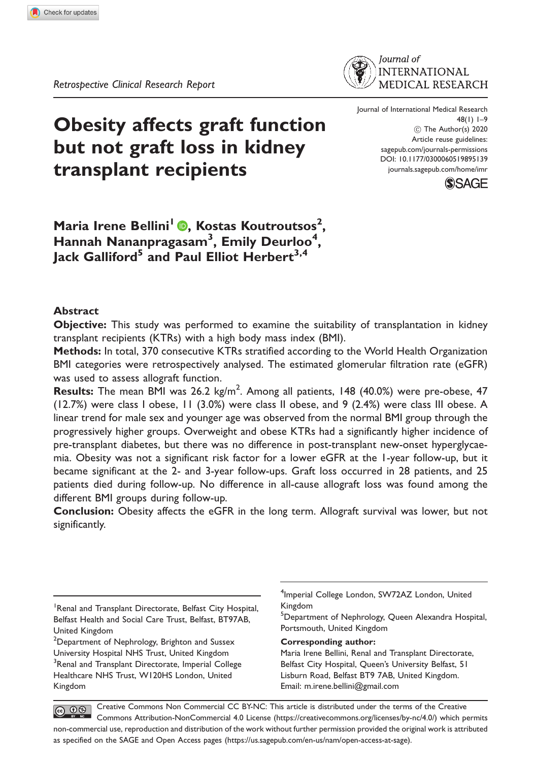

Obesity affects graft function but not graft loss in kidney transplant recipients

Journal of International Medical Research 48(1) 1–9 (C) The Author(s) 2020 Article reuse guidelines: [sagepub.com/journals-permissions](http://uk.sagepub.com/en-gb/journals-permissions) [DOI: 10.1177/0300060519895139](http://dx.doi.org/10.1177/0300060519895139) <journals.sagepub.com/home/imr>



Maria Irene Bellini<sup>l</sup> ®, Kostas Koutroutsos<sup>2</sup>, Hannah Nananpragasam<sup>3</sup>, Emily Deurloo<sup>4</sup>,  $Jack$  Galliford<sup>5</sup> and Paul Elliot Herbert<sup>3,4</sup>

### Abstract

Objective: This study was performed to examine the suitability of transplantation in kidney transplant recipients (KTRs) with a high body mass index (BMI).

**Methods:** In total, 370 consecutive KTRs stratified according to the World Health Organization BMI categories were retrospectively analysed. The estimated glomerular filtration rate (eGFR) was used to assess allograft function.

**Results:** The mean BMI was 26.2 kg/m<sup>2</sup>. Among all patients, 148 (40.0%) were pre-obese, 47 (12.7%) were class I obese, 11 (3.0%) were class II obese, and 9 (2.4%) were class III obese. A linear trend for male sex and younger age was observed from the normal BMI group through the progressively higher groups. Overweight and obese KTRs had a significantly higher incidence of pre-transplant diabetes, but there was no difference in post-transplant new-onset hyperglycaemia. Obesity was not a significant risk factor for a lower eGFR at the 1-year follow-up, but it became significant at the 2- and 3-year follow-ups. Graft loss occurred in 28 patients, and 25 patients died during follow-up. No difference in all-cause allograft loss was found among the different BMI groups during follow-up.

Conclusion: Obesity affects the eGFR in the long term. Allograft survival was lower, but not significantly.

#### Corresponding author:

Maria Irene Bellini, Renal and Transplant Directorate, Belfast City Hospital, Queen's University Belfast, 51 Lisburn Road, Belfast BT9 7AB, United Kingdom. Email: [m.irene.bellini@gmail.com](mailto:m.irene.bellini@gmail.com)

Creative Commons Non Commercial CC BY-NC: This article is distributed under the terms of the Creative  $\circledcirc$   $\circledcirc$ Commons Attribution-NonCommercial 4.0 License (https://creativecommons.org/licenses/by-nc/4.0/) which permits non-commercial use, reproduction and distribution of the work without further permission provided the original work is attributed as specified on the SAGE and Open Access pages (https://us.sagepub.com/en-us/nam/open-access-at-sage).

<sup>&</sup>lt;sup>1</sup> Renal and Transplant Directorate, Belfast City Hospital, Belfast Health and Social Care Trust, Belfast, BT97AB, United Kingdom

 $^{2}$ Department of Nephrology, Brighton and Sussex University Hospital NHS Trust, United Kingdom <sup>3</sup>Renal and Transplant Directorate, Imperial College Healthcare NHS Trust, W120HS London, United Kingdom

<sup>4</sup> Imperial College London, SW72AZ London, United Kingdom

<sup>&</sup>lt;sup>5</sup>Department of Nephrology, Queen Alexandra Hospital, Portsmouth, United Kingdom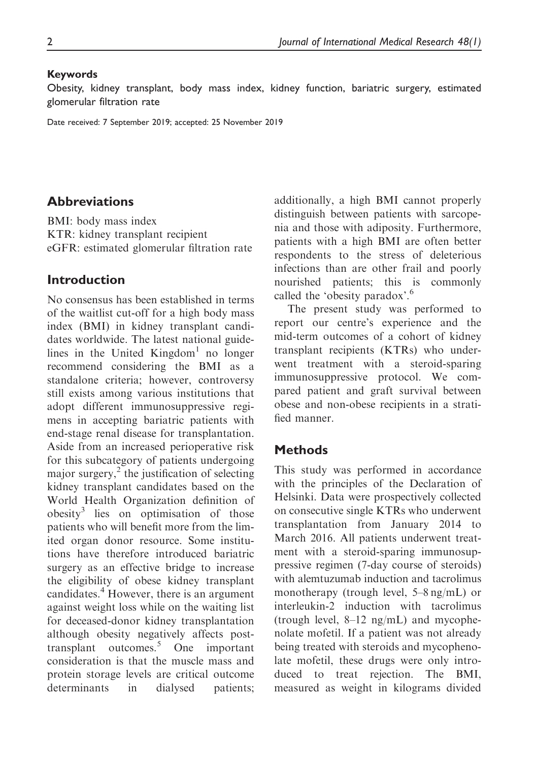### Keywords

Obesity, kidney transplant, body mass index, kidney function, bariatric surgery, estimated glomerular filtration rate

Date received: 7 September 2019; accepted: 25 November 2019

## Abbreviations

BMI: body mass index KTR: kidney transplant recipient eGFR: estimated glomerular filtration rate

## Introduction

No consensus has been established in terms of the waitlist cut-off for a high body mass index (BMI) in kidney transplant candidates worldwide. The latest national guidelines in the United Kingdom<sup>1</sup> no longer recommend considering the BMI as a standalone criteria; however, controversy still exists among various institutions that adopt different immunosuppressive regimens in accepting bariatric patients with end-stage renal disease for transplantation. Aside from an increased perioperative risk for this subcategory of patients undergoing major surgery, $\frac{2}{\pi}$  the justification of selecting kidney transplant candidates based on the World Health Organization definition of obesity<sup>3</sup> lies on optimisation of those patients who will benefit more from the limited organ donor resource. Some institutions have therefore introduced bariatric surgery as an effective bridge to increase the eligibility of obese kidney transplant candidates.<sup>4</sup> However, there is an argument against weight loss while on the waiting list for deceased-donor kidney transplantation although obesity negatively affects posttransplant outcomes.<sup>5</sup> One important consideration is that the muscle mass and protein storage levels are critical outcome determinants in dialysed patients; additionally, a high BMI cannot properly distinguish between patients with sarcopenia and those with adiposity. Furthermore, patients with a high BMI are often better respondents to the stress of deleterious infections than are other frail and poorly nourished patients; this is commonly called the 'obesity paradox'.<sup>6</sup>

The present study was performed to report our centre's experience and the mid-term outcomes of a cohort of kidney transplant recipients (KTRs) who underwent treatment with a steroid-sparing immunosuppressive protocol. We compared patient and graft survival between obese and non-obese recipients in a stratified manner.

# **Methods**

This study was performed in accordance with the principles of the Declaration of Helsinki. Data were prospectively collected on consecutive single KTRs who underwent transplantation from January 2014 to March 2016. All patients underwent treatment with a steroid-sparing immunosuppressive regimen (7-day course of steroids) with alemtuzumab induction and tacrolimus monotherapy (trough level, 5–8 ng/mL) or interleukin-2 induction with tacrolimus (trough level,  $8-12$  ng/mL) and mycophenolate mofetil. If a patient was not already being treated with steroids and mycophenolate mofetil, these drugs were only introduced to treat rejection. The BMI, measured as weight in kilograms divided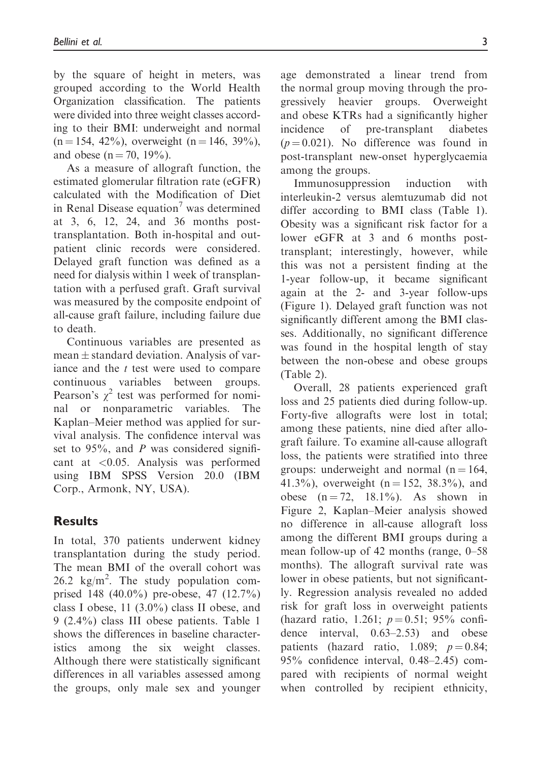by the square of height in meters, was grouped according to the World Health Organization classification. The patients were divided into three weight classes according to their BMI: underweight and normal  $(n = 154, 42\%)$ , overweight  $(n = 146, 39\%)$ , and obese ( $n = 70$ , 19%).

As a measure of allograft function, the estimated glomerular filtration rate (eGFR) calculated with the Modification of Diet in Renal Disease equation<sup>7</sup> was determined at 3, 6, 12, 24, and 36 months posttransplantation. Both in-hospital and outpatient clinic records were considered. Delayed graft function was defined as a need for dialysis within 1 week of transplantation with a perfused graft. Graft survival was measured by the composite endpoint of all-cause graft failure, including failure due to death.

Continuous variables are presented as  $mean \pm$  standard deviation. Analysis of variance and the t test were used to compare continuous variables between groups. Pearson's  $\chi^2$  test was performed for nominal or nonparametric variables. The Kaplan–Meier method was applied for survival analysis. The confidence interval was set to  $95\%$ , and P was considered significant at <0.05. Analysis was performed using IBM SPSS Version 20.0 (IBM Corp., Armonk, NY, USA).

# **Results**

In total, 370 patients underwent kidney transplantation during the study period. The mean BMI of the overall cohort was 26.2  $\text{kg/m}^2$ . The study population comprised 148 (40.0%) pre-obese, 47 (12.7%) class I obese, 11 (3.0%) class II obese, and 9 (2.4%) class III obese patients. Table 1 shows the differences in baseline characteristics among the six weight classes. Although there were statistically significant differences in all variables assessed among the groups, only male sex and younger age demonstrated a linear trend from the normal group moving through the progressively heavier groups. Overweight and obese KTRs had a significantly higher incidence of pre-transplant diabetes  $(p = 0.021)$ . No difference was found in post-transplant new-onset hyperglycaemia among the groups.

Immunosuppression induction with interleukin-2 versus alemtuzumab did not differ according to BMI class (Table 1). Obesity was a significant risk factor for a lower eGFR at 3 and 6 months posttransplant; interestingly, however, while this was not a persistent finding at the 1-year follow-up, it became significant again at the 2- and 3-year follow-ups (Figure 1). Delayed graft function was not significantly different among the BMI classes. Additionally, no significant difference was found in the hospital length of stay between the non-obese and obese groups (Table 2).

Overall, 28 patients experienced graft loss and 25 patients died during follow-up. Forty-five allografts were lost in total; among these patients, nine died after allograft failure. To examine all-cause allograft loss, the patients were stratified into three groups: underweight and normal ( $n = 164$ , 41.3%), overweight ( $n = 152$ , 38.3%), and obese  $(n = 72, 18.1\%)$ . As shown in Figure 2, Kaplan–Meier analysis showed no difference in all-cause allograft loss among the different BMI groups during a mean follow-up of 42 months (range, 0–58 months). The allograft survival rate was lower in obese patients, but not significantly. Regression analysis revealed no added risk for graft loss in overweight patients (hazard ratio, 1.261;  $p = 0.51$ ; 95% confidence interval, 0.63–2.53) and obese  $0.63-2.53$  and obese patients (hazard ratio, 1.089;  $p = 0.84$ ; 95% confidence interval, 0.48–2.45) compared with recipients of normal weight when controlled by recipient ethnicity,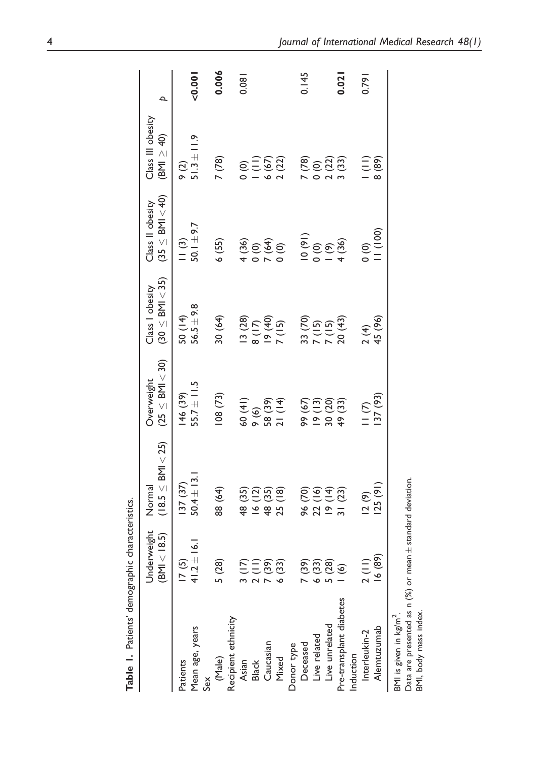|                         | うりこうこうじょうこう                                |                                    |                                      |                                           |                                                                                                                                                                                                                                                                                                                                    |                                           |                |
|-------------------------|--------------------------------------------|------------------------------------|--------------------------------------|-------------------------------------------|------------------------------------------------------------------------------------------------------------------------------------------------------------------------------------------------------------------------------------------------------------------------------------------------------------------------------------|-------------------------------------------|----------------|
|                         | Underweight<br>$<$ 18.5)<br>$\overline{B}$ | $(18.5 \leq$ BMI $<$ 25)<br>Normal | $(25 \leq$ BMI $<$ 30)<br>Overweight | $(30 \leq$ BMI $<$ 35)<br>Class I obesity | $(35 \leq$ BMI $<$ 40)<br>Class II obesity                                                                                                                                                                                                                                                                                         | Class III obesity<br>$(BM \geq 40)$       | $\overline{a}$ |
| Patients                | 17(5)                                      | 37 (37)                            | 46 (39)                              |                                           | $\frac{1}{2}$                                                                                                                                                                                                                                                                                                                      | $\circ$ (2)                               |                |
| Mean age, years         | $41.2 \pm 16.1$                            | $50.4 \pm 13.1$                    | $55.7 \pm 11.5$                      | $50(14)$<br>$56.5 \pm 9.8$                | $50.1 + 9.7$                                                                                                                                                                                                                                                                                                                       | $51.3 \pm 11.9$                           | $0.001$        |
| Sex                     |                                            |                                    |                                      |                                           |                                                                                                                                                                                                                                                                                                                                    |                                           |                |
| (Male)                  | 5(28)                                      | 88 (64)                            | 108(73)                              | 30 (64)                                   | 6(55)                                                                                                                                                                                                                                                                                                                              | (78)                                      | 0.006          |
| Recipient ethnicity     |                                            |                                    |                                      |                                           |                                                                                                                                                                                                                                                                                                                                    |                                           |                |
|                         |                                            | 48 (35)                            | 60 (41)                              | 13 (28)                                   |                                                                                                                                                                                                                                                                                                                                    |                                           | 0.081          |
| Asian<br>Black          | $7 = 39$<br>$7 = 39$<br>$\tilde{\sim}$     | $\widetilde{\Xi}$<br>$\frac{6}{2}$ | $\circ$                              | (17)                                      |                                                                                                                                                                                                                                                                                                                                    |                                           |                |
| Caucasian               |                                            | (35)<br>$\frac{48}{9}$             |                                      |                                           |                                                                                                                                                                                                                                                                                                                                    |                                           |                |
| Mixed                   | 6(33)                                      | $\frac{1}{2}$<br>25                | 58 (39)<br>21 (14)                   | $\frac{(40)}{7}$                          | $40000$<br>$+0000$                                                                                                                                                                                                                                                                                                                 | $0 = 52$<br>$- 0.22$                      |                |
| Donor type              |                                            |                                    |                                      |                                           |                                                                                                                                                                                                                                                                                                                                    |                                           |                |
| Deceased                | 7(39)                                      | <u>ଚ୍</u><br>$\frac{6}{6}$         | 99 (67)                              |                                           |                                                                                                                                                                                                                                                                                                                                    |                                           | 0.145          |
| Live related            |                                            | $\overline{2}$                     | $\frac{3}{2}$<br>$\frac{6}{2}$       |                                           |                                                                                                                                                                                                                                                                                                                                    |                                           |                |
| Live unrelated          | $6(33)$<br>5 (28)                          | 22 (16)<br>19 (14)<br>31 (23)      | 30 (20)                              |                                           |                                                                                                                                                                                                                                                                                                                                    |                                           |                |
| Pre-transplant diabetes | $\circledcirc$                             |                                    | 49 (33)                              | 33 (70)<br>7 (15)<br>7 (15)<br>20 (43)    | $\begin{pmatrix} 0 & 0 & 0 \\ 0 & 0 & 0 \\ 0 & 0 & 0 \\ 0 & 0 & 0 \\ 0 & 0 & 0 \\ 0 & 0 & 0 \\ 0 & 0 & 0 \\ 0 & 0 & 0 \\ 0 & 0 & 0 \\ 0 & 0 & 0 \\ 0 & 0 & 0 \\ 0 & 0 & 0 \\ 0 & 0 & 0 \\ 0 & 0 & 0 \\ 0 & 0 & 0 \\ 0 & 0 & 0 & 0 \\ 0 & 0 & 0 & 0 \\ 0 & 0 & 0 & 0 \\ 0 & 0 & 0 & 0 & 0 \\ 0 & 0 & 0 & 0 & 0 \\ 0 & 0 & 0 & 0 & $ |                                           | 0.021          |
| Induction               |                                            |                                    |                                      |                                           |                                                                                                                                                                                                                                                                                                                                    |                                           |                |
| Interleukin-2           |                                            | 12(9)                              | $\frac{1}{2}$                        |                                           | $\frac{1}{2}$                                                                                                                                                                                                                                                                                                                      | $\begin{array}{c} 1 \ 69 \ 8 \end{array}$ | 0.791          |
| Alemtuzumab             | (68)                                       | 125(91)                            | 137 (93)                             | $\frac{2(4)}{45(96)}$                     | (100)                                                                                                                                                                                                                                                                                                                              |                                           |                |
|                         |                                            |                                    |                                      |                                           |                                                                                                                                                                                                                                                                                                                                    |                                           |                |

Table 1. Patients' demographic characteristics. Table 1. Patients' demographic characteristics.

BMI is given in  $kg/m<sup>2</sup>$ .

BMI is given in kg/m<sup>2</sup>.<br>Data are presented as n (%) or mean±standard deviation.<br>BMI, body mass index. standard deviation. Data are presented as n (%) or mean  $\pm$ 

BMI, body mass index.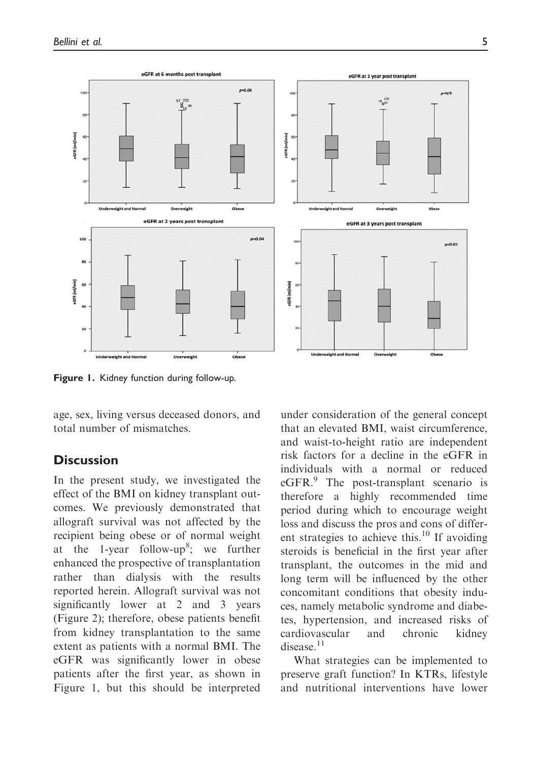

Figure 1. Kidney function during follow-up.

age, sex, living versus deceased donors, and total number of mismatches.

### **Discussion**

In the present study, we investigated the effect of the BMI on kidney transplant outcomes. We previously demonstrated that allograft survival was not affected by the recipient being obese or of normal weight at the 1-year follow-up<sup>8</sup>; we further enhanced the prospective of transplantation rather than dialysis with the results reported herein. Allograft survival was not significantly lower at 2 and 3 years (Figure 2); therefore, obese patients benefit from kidney transplantation to the same extent as patients with a normal BMI. The eGFR was significantly lower in obese patients after the first year, as shown in Figure 1, but this should be interpreted under consideration of the general concept that an elevated BMI, waist circumference, and waist-to-height ratio are independent risk factors for a decline in the eGFR in individuals with a normal or reduced eGFR.<sup>9</sup> The post-transplant scenario is therefore a highly recommended time period during which to encourage weight loss and discuss the pros and cons of different strategies to achieve this. $^{10}$  If avoiding steroids is beneficial in the first year after transplant, the outcomes in the mid and long term will be influenced by the other concomitant conditions that obesity induces, namely metabolic syndrome and diabetes, hypertension, and increased risks of cardiovascular and chronic kidney disease.<sup>11</sup>

What strategies can be implemented to preserve graft function? In KTRs, lifestyle and nutritional interventions have lower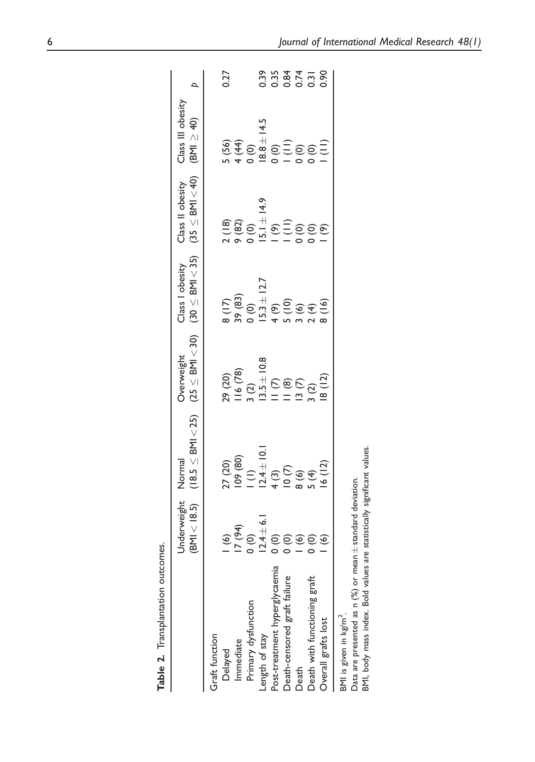|                                   | <b>Jnderweight</b><br>(BMI < 18.5) | $(18.5 \leq$ BMI < 25) $(25 \leq$ BMI < 30) $(30 \leq$ BMI < 35)<br>Normal          | Overweight                                                                                   | Class I obesity                                                                      | $(35 \leq$ BMI $<$ 40)<br>Class II obesity                                                                                                                                                                                                                                                 | Class III obesity<br>$(BM \geq 40)$                                             |      |
|-----------------------------------|------------------------------------|-------------------------------------------------------------------------------------|----------------------------------------------------------------------------------------------|--------------------------------------------------------------------------------------|--------------------------------------------------------------------------------------------------------------------------------------------------------------------------------------------------------------------------------------------------------------------------------------------|---------------------------------------------------------------------------------|------|
| Graft function                    |                                    |                                                                                     |                                                                                              |                                                                                      |                                                                                                                                                                                                                                                                                            |                                                                                 |      |
| Delayed                           |                                    |                                                                                     |                                                                                              |                                                                                      |                                                                                                                                                                                                                                                                                            |                                                                                 | 0.27 |
| Immediate                         |                                    |                                                                                     |                                                                                              |                                                                                      |                                                                                                                                                                                                                                                                                            |                                                                                 |      |
| Primary dysfunction               |                                    |                                                                                     |                                                                                              |                                                                                      |                                                                                                                                                                                                                                                                                            |                                                                                 |      |
| ength of stay                     |                                    |                                                                                     |                                                                                              |                                                                                      |                                                                                                                                                                                                                                                                                            |                                                                                 |      |
| Post-treatment hyperglycaemia     |                                    |                                                                                     |                                                                                              |                                                                                      |                                                                                                                                                                                                                                                                                            |                                                                                 |      |
| Death-censored graft failure      |                                    |                                                                                     |                                                                                              |                                                                                      |                                                                                                                                                                                                                                                                                            |                                                                                 |      |
| Death                             |                                    |                                                                                     |                                                                                              |                                                                                      |                                                                                                                                                                                                                                                                                            |                                                                                 |      |
| Death with functioning graft      |                                    |                                                                                     |                                                                                              |                                                                                      |                                                                                                                                                                                                                                                                                            |                                                                                 |      |
| Overall grafts lost               |                                    | 27 (20)<br>109 (80)<br>1 (1)<br>1 (1)<br>1 (3)<br>1 (4)<br>5 (4)<br>5 (4)<br>1 (12) | 29 (20)<br>1   6 (78)<br>3 (2)<br>3 (2)<br>1 3 (2)<br>1   2 (2)<br>3 (2)<br>3 (2)<br>8   1 8 | 8 (17)<br>39 (83)<br>0 (0)<br>4 (9)<br>4 (9)<br>5 (16)<br>3 (16)<br>2 (16)<br>3 (16) | $\begin{array}{l} 2(18) \\ 2(82) \\ 6(81) \\ 151 + 9(81) \\ 151 + 9(81) \\ 161 + 9(81) \\ 171 + 9(81) \\ 181 + 9(81) \\ 191 + 9(81) \\ 101 + 9(81) \\ 1121 + 9(81) \\ 1131 + 9(81) \\ 1231 + 9(81) \\ 1331 + 9(81) \\ 1431 + 9(81) \\ 1531 + 9(81) \\ 1631 + 9(81) \\ 1731 + 9(81) \\ 183$ | 5 (56)<br>4 (44)<br>0 (0)<br>0 (0)<br>0 (0)<br>0 (1)<br>0 (1)<br>0 (1)<br>0 (1) |      |
| BMI is given in kg/m <sup>2</sup> |                                    |                                                                                     |                                                                                              |                                                                                      |                                                                                                                                                                                                                                                                                            |                                                                                 |      |

Table 2. Transplantation outcomes. Table 2. Transplantation outcomes.

Data are presented as n (%) or mean  $\pm$  standard deviation.<br>BMI, body mass index. Bold values are statistically significant values. BMI, body mass index. Bold values are statistically significant values. standard deviation. Data are presented as n (%) or mean  $\pm$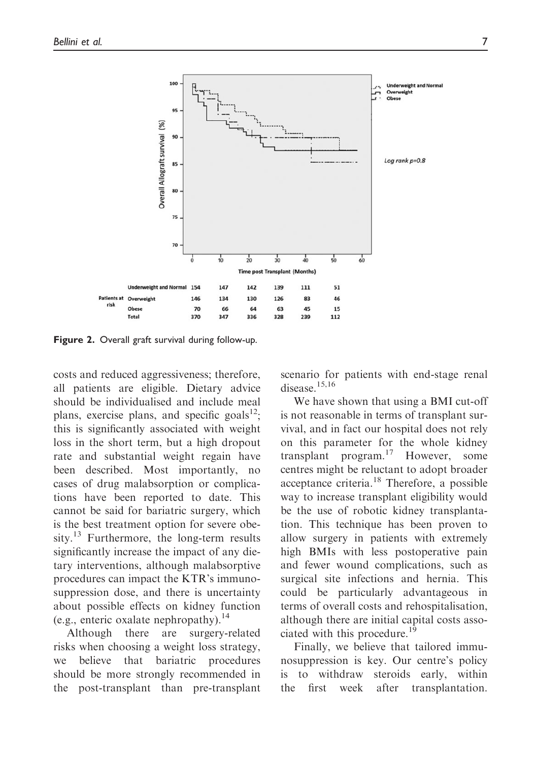

Figure 2. Overall graft survival during follow-up.

costs and reduced aggressiveness; therefore, all patients are eligible. Dietary advice should be individualised and include meal plans, exercise plans, and specific goals $^{12}$ . this is significantly associated with weight loss in the short term, but a high dropout rate and substantial weight regain have been described. Most importantly, no cases of drug malabsorption or complications have been reported to date. This cannot be said for bariatric surgery, which is the best treatment option for severe obesity. $^{13}$  Furthermore, the long-term results significantly increase the impact of any dietary interventions, although malabsorptive procedures can impact the KTR's immunosuppression dose, and there is uncertainty about possible effects on kidney function (e.g., enteric oxalate nephropathy).<sup>14</sup>

Although there are surgery-related risks when choosing a weight loss strategy, we believe that bariatric procedures should be more strongly recommended in the post-transplant than pre-transplant scenario for patients with end-stage renal disease.<sup>15,16</sup>

We have shown that using a BMI cut-off is not reasonable in terms of transplant survival, and in fact our hospital does not rely on this parameter for the whole kidney transplant program. $17$  However, some centres might be reluctant to adopt broader acceptance criteria.<sup>18</sup> Therefore, a possible way to increase transplant eligibility would be the use of robotic kidney transplantation. This technique has been proven to allow surgery in patients with extremely high BMIs with less postoperative pain and fewer wound complications, such as surgical site infections and hernia. This could be particularly advantageous in terms of overall costs and rehospitalisation, although there are initial capital costs associated with this procedure.<sup>19</sup>

Finally, we believe that tailored immunosuppression is key. Our centre's policy is to withdraw steroids early, within the first week after transplantation.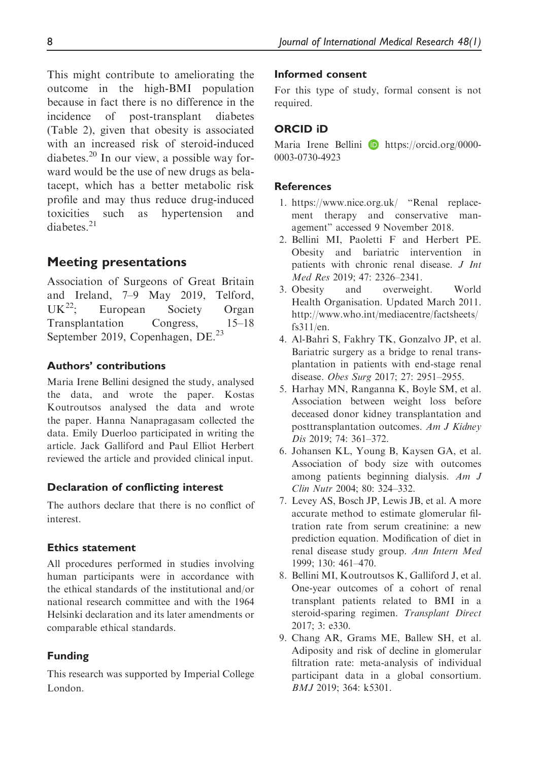This might contribute to ameliorating the outcome in the high-BMI population because in fact there is no difference in the incidence of post-transplant diabetes (Table 2), given that obesity is associated with an increased risk of steroid-induced diabetes.<sup>20</sup> In our view, a possible way forward would be the use of new drugs as belatacept, which has a better metabolic risk profile and may thus reduce drug-induced toxicities such as hypertension and  $diahetes$ <sup>21</sup>

## Meeting presentations

Association of Surgeons of Great Britain and Ireland, 7–9 May 2019, Telford, UK<sup>22</sup>: European Society Organ Transplantation Congress, 15–18 September 2019, Copenhagen, DE.<sup>23</sup>

### Authors' contributions

Maria Irene Bellini designed the study, analysed the data, and wrote the paper. Kostas Koutroutsos analysed the data and wrote the paper. Hanna Nanapragasam collected the data. Emily Duerloo participated in writing the article. Jack Galliford and Paul Elliot Herbert reviewed the article and provided clinical input.

#### Declaration of conflicting interest

The authors declare that there is no conflict of interest.

### Ethics statement

All procedures performed in studies involving human participants were in accordance with the ethical standards of the institutional and/or national research committee and with the 1964 Helsinki declaration and its later amendments or comparable ethical standards.

#### Funding

This research was supported by Imperial College London.

#### Informed consent

For this type of study, formal consent is not required.

### ORCID iD

Maria Irene Bellini **D** [https://orcid.org/0000-](https://orcid.org/0000-0003-0730-4923) [0003-0730-4923](https://orcid.org/0000-0003-0730-4923)

#### References

- 1.<https://www.nice.org.uk/> "Renal replacement therapy and conservative management" accessed 9 November 2018.
- 2. Bellini MI, Paoletti F and Herbert PE. Obesity and bariatric intervention in patients with chronic renal disease. J Int Med Res 2019; 47: 2326–2341.
- 3. Obesity and overweight. World Health Organisation. Updated March 2011. [http://www.who.int/mediacentre/factsheets/](http://www.who.int/mediacentre/factsheets/fs311/en) [fs311/en.](http://www.who.int/mediacentre/factsheets/fs311/en)
- 4. Al-Bahri S, Fakhry TK, Gonzalvo JP, et al. Bariatric surgery as a bridge to renal transplantation in patients with end-stage renal disease. Obes Surg 2017; 27: 2951–2955.
- 5. Harhay MN, Ranganna K, Boyle SM, et al. Association between weight loss before deceased donor kidney transplantation and posttransplantation outcomes. Am J Kidney Dis 2019; 74: 361–372.
- 6. Johansen KL, Young B, Kaysen GA, et al. Association of body size with outcomes among patients beginning dialysis. Am J Clin Nutr 2004; 80: 324–332.
- 7. Levey AS, Bosch JP, Lewis JB, et al. A more accurate method to estimate glomerular filtration rate from serum creatinine: a new prediction equation. Modification of diet in renal disease study group. Ann Intern Med 1999; 130: 461–470.
- 8. Bellini MI, Koutroutsos K, Galliford J, et al. One-year outcomes of a cohort of renal transplant patients related to BMI in a steroid-sparing regimen. Transplant Direct 2017; 3: e330.
- 9. Chang AR, Grams ME, Ballew SH, et al. Adiposity and risk of decline in glomerular filtration rate: meta-analysis of individual participant data in a global consortium. BMJ 2019; 364: k5301.